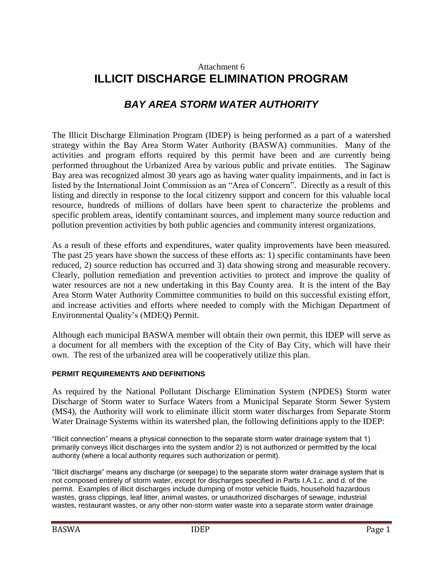## Attachment 6 **ILLICIT DISCHARGE ELIMINATION PROGRAM**

# *BAY AREA STORM WATER AUTHORITY*

The Illicit Discharge Elimination Program (IDEP) is being performed as a part of a watershed strategy within the Bay Area Storm Water Authority (BASWA) communities. Many of the activities and program efforts required by this permit have been and are currently being performed throughout the Urbanized Area by various public and private entities. The Saginaw Bay area was recognized almost 30 years ago as having water quality impairments, and in fact is listed by the International Joint Commission as an "Area of Concern". Directly as a result of this listing and directly in response to the local citizenry support and concern for this valuable local resource, hundreds of millions of dollars have been spent to characterize the problems and specific problem areas, identify contaminant sources, and implement many source reduction and pollution prevention activities by both public agencies and community interest organizations.

As a result of these efforts and expenditures, water quality improvements have been measured. The past 25 years have shown the success of these efforts as: 1) specific contaminants have been reduced, 2) source reduction has occurred and 3) data showing strong and measurable recovery. Clearly, pollution remediation and prevention activities to protect and improve the quality of water resources are not a new undertaking in this Bay County area. It is the intent of the Bay Area Storm Water Authority Committee communities to build on this successful existing effort, and increase activities and efforts where needed to comply with the Michigan Department of Environmental Quality's (MDEQ) Permit.

Although each municipal BASWA member will obtain their own permit, this IDEP will serve as a document for all members with the exception of the City of Bay City, which will have their own. The rest of the urbanized area will be cooperatively utilize this plan.

#### **PERMIT REQUIREMENTS AND DEFINITIONS**

As required by the National Pollutant Discharge Elimination System (NPDES) Storm water Discharge of Storm water to Surface Waters from a Municipal Separate Storm Sewer System (MS4), the Authority will work to eliminate illicit storm water discharges from Separate Storm Water Drainage Systems within its watershed plan, the following definitions apply to the IDEP:

"Illicit connection" means a physical connection to the separate storm water drainage system that 1) primarily conveys illicit discharges into the system and/or 2) is not authorized or permitted by the local authority (where a local authority requires such authorization or permit).

"Illicit discharge" means any discharge (or seepage) to the separate storm water drainage system that is not composed entirely of storm water, except for discharges specified in Parts I.A.1.c. and d. of the permit. Examples of illicit discharges include dumping of motor vehicle fluids, household hazardous wastes, grass clippings, leaf litter, animal wastes, or unauthorized discharges of sewage, industrial wastes, restaurant wastes, or any other non-storm water waste into a separate storm water drainage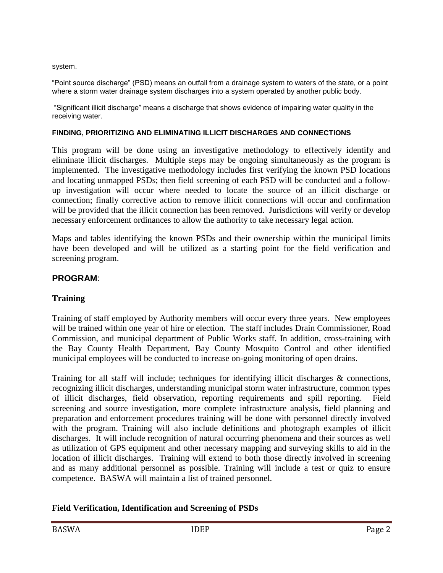system.

"Point source discharge" (PSD) means an outfall from a drainage system to waters of the state, or a point where a storm water drainage system discharges into a system operated by another public body.

"Significant illicit discharge" means a discharge that shows evidence of impairing water quality in the receiving water.

#### **FINDING, PRIORITIZING AND ELIMINATING ILLICIT DISCHARGES AND CONNECTIONS**

This program will be done using an investigative methodology to effectively identify and eliminate illicit discharges. Multiple steps may be ongoing simultaneously as the program is implemented. The investigative methodology includes first verifying the known PSD locations and locating unmapped PSDs; then field screening of each PSD will be conducted and a followup investigation will occur where needed to locate the source of an illicit discharge or connection; finally corrective action to remove illicit connections will occur and confirmation will be provided that the illicit connection has been removed. Jurisdictions will verify or develop necessary enforcement ordinances to allow the authority to take necessary legal action.

Maps and tables identifying the known PSDs and their ownership within the municipal limits have been developed and will be utilized as a starting point for the field verification and screening program.

## **PROGRAM**:

## **Training**

Training of staff employed by Authority members will occur every three years. New employees will be trained within one year of hire or election. The staff includes Drain Commissioner, Road Commission, and municipal department of Public Works staff. In addition, cross-training with the Bay County Health Department, Bay County Mosquito Control and other identified municipal employees will be conducted to increase on-going monitoring of open drains.

Training for all staff will include; techniques for identifying illicit discharges & connections, recognizing illicit discharges, understanding municipal storm water infrastructure, common types of illicit discharges, field observation, reporting requirements and spill reporting. Field screening and source investigation, more complete infrastructure analysis, field planning and preparation and enforcement procedures training will be done with personnel directly involved with the program. Training will also include definitions and photograph examples of illicit discharges. It will include recognition of natural occurring phenomena and their sources as well as utilization of GPS equipment and other necessary mapping and surveying skills to aid in the location of illicit discharges. Training will extend to both those directly involved in screening and as many additional personnel as possible. Training will include a test or quiz to ensure competence. BASWA will maintain a list of trained personnel.

#### **Field Verification, Identification and Screening of PSDs**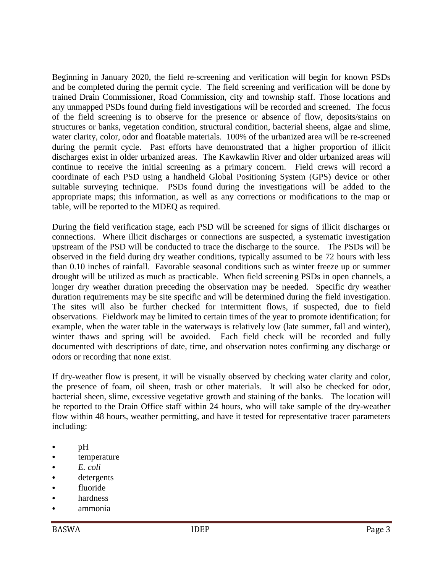Beginning in January 2020, the field re-screening and verification will begin for known PSDs and be completed during the permit cycle. The field screening and verification will be done by trained Drain Commissioner, Road Commission, city and township staff. Those locations and any unmapped PSDs found during field investigations will be recorded and screened. The focus of the field screening is to observe for the presence or absence of flow, deposits/stains on structures or banks, vegetation condition, structural condition, bacterial sheens, algae and slime, water clarity, color, odor and floatable materials. 100% of the urbanized area will be re-screened during the permit cycle. Past efforts have demonstrated that a higher proportion of illicit discharges exist in older urbanized areas. The Kawkawlin River and older urbanized areas will continue to receive the initial screening as a primary concern. Field crews will record a coordinate of each PSD using a handheld Global Positioning System (GPS) device or other suitable surveying technique. PSDs found during the investigations will be added to the appropriate maps; this information, as well as any corrections or modifications to the map or table, will be reported to the MDEQ as required.

During the field verification stage, each PSD will be screened for signs of illicit discharges or connections. Where illicit discharges or connections are suspected, a systematic investigation upstream of the PSD will be conducted to trace the discharge to the source. The PSDs will be observed in the field during dry weather conditions, typically assumed to be 72 hours with less than 0.10 inches of rainfall. Favorable seasonal conditions such as winter freeze up or summer drought will be utilized as much as practicable. When field screening PSDs in open channels, a longer dry weather duration preceding the observation may be needed. Specific dry weather duration requirements may be site specific and will be determined during the field investigation. The sites will also be further checked for intermittent flows, if suspected, due to field observations. Fieldwork may be limited to certain times of the year to promote identification; for example, when the water table in the waterways is relatively low (late summer, fall and winter), winter thaws and spring will be avoided. Each field check will be recorded and fully documented with descriptions of date, time, and observation notes confirming any discharge or odors or recording that none exist.

If dry-weather flow is present, it will be visually observed by checking water clarity and color, the presence of foam, oil sheen, trash or other materials. It will also be checked for odor, bacterial sheen, slime, excessive vegetative growth and staining of the banks. The location will be reported to the Drain Office staff within 24 hours, who will take sample of the dry-weather flow within 48 hours, weather permitting, and have it tested for representative tracer parameters including:

- pH
- temperature
- *E. coli*
- detergents
- fluoride
- hardness
- ammonia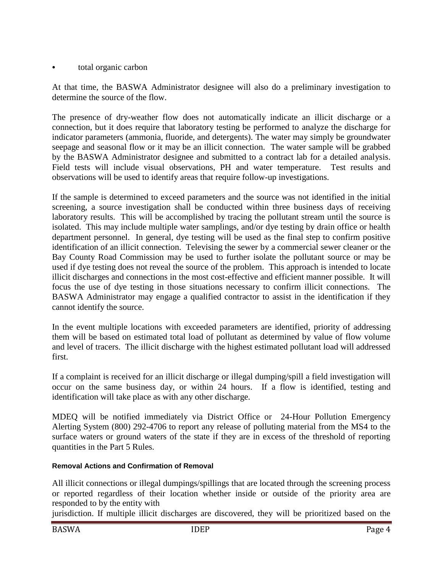total organic carbon

At that time, the BASWA Administrator designee will also do a preliminary investigation to determine the source of the flow.

The presence of dry-weather flow does not automatically indicate an illicit discharge or a connection, but it does require that laboratory testing be performed to analyze the discharge for indicator parameters (ammonia, fluoride, and detergents). The water may simply be groundwater seepage and seasonal flow or it may be an illicit connection. The water sample will be grabbed by the BASWA Administrator designee and submitted to a contract lab for a detailed analysis. Field tests will include visual observations, PH and water temperature. Test results and observations will be used to identify areas that require follow-up investigations.

If the sample is determined to exceed parameters and the source was not identified in the initial screening, a source investigation shall be conducted within three business days of receiving laboratory results. This will be accomplished by tracing the pollutant stream until the source is isolated. This may include multiple water samplings, and/or dye testing by drain office or health department personnel. In general, dye testing will be used as the final step to confirm positive identification of an illicit connection. Televising the sewer by a commercial sewer cleaner or the Bay County Road Commission may be used to further isolate the pollutant source or may be used if dye testing does not reveal the source of the problem. This approach is intended to locate illicit discharges and connections in the most cost-effective and efficient manner possible. It will focus the use of dye testing in those situations necessary to confirm illicit connections. The BASWA Administrator may engage a qualified contractor to assist in the identification if they cannot identify the source.

In the event multiple locations with exceeded parameters are identified, priority of addressing them will be based on estimated total load of pollutant as determined by value of flow volume and level of tracers. The illicit discharge with the highest estimated pollutant load will addressed first.

If a complaint is received for an illicit discharge or illegal dumping/spill a field investigation will occur on the same business day, or within 24 hours. If a flow is identified, testing and identification will take place as with any other discharge.

MDEQ will be notified immediately via District Office or 24-Hour Pollution Emergency Alerting System (800) 292-4706 to report any release of polluting material from the MS4 to the surface waters or ground waters of the state if they are in excess of the threshold of reporting quantities in the Part 5 Rules.

## **Removal Actions and Confirmation of Removal**

All illicit connections or illegal dumpings/spillings that are located through the screening process or reported regardless of their location whether inside or outside of the priority area are responded to by the entity with

jurisdiction. If multiple illicit discharges are discovered, they will be prioritized based on the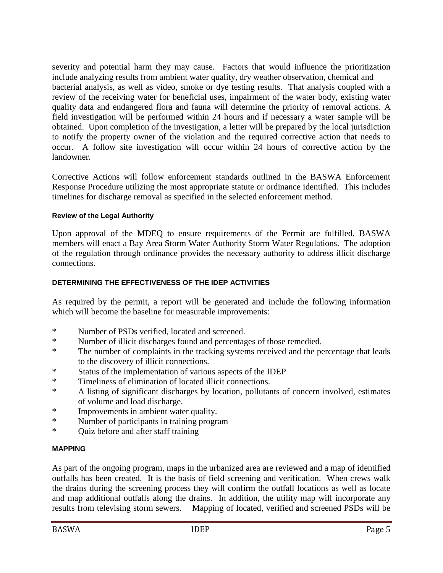severity and potential harm they may cause. Factors that would influence the prioritization include analyzing results from ambient water quality, dry weather observation, chemical and bacterial analysis, as well as video, smoke or dye testing results. That analysis coupled with a review of the receiving water for beneficial uses, impairment of the water body, existing water quality data and endangered flora and fauna will determine the priority of removal actions. A field investigation will be performed within 24 hours and if necessary a water sample will be obtained. Upon completion of the investigation, a letter will be prepared by the local jurisdiction to notify the property owner of the violation and the required corrective action that needs to occur. A follow site investigation will occur within 24 hours of corrective action by the landowner.

Corrective Actions will follow enforcement standards outlined in the BASWA Enforcement Response Procedure utilizing the most appropriate statute or ordinance identified. This includes timelines for discharge removal as specified in the selected enforcement method.

#### **Review of the Legal Authority**

Upon approval of the MDEQ to ensure requirements of the Permit are fulfilled, BASWA members will enact a Bay Area Storm Water Authority Storm Water Regulations. The adoption of the regulation through ordinance provides the necessary authority to address illicit discharge connections.

## **DETERMINING THE EFFECTIVENESS OF THE IDEP ACTIVITIES**

As required by the permit, a report will be generated and include the following information which will become the baseline for measurable improvements:

- \* Number of PSDs verified, located and screened.
- \* Number of illicit discharges found and percentages of those remedied.
- \* The number of complaints in the tracking systems received and the percentage that leads to the discovery of illicit connections.
- \* Status of the implementation of various aspects of the IDEP
- \* Timeliness of elimination of located illicit connections.
- \* A listing of significant discharges by location, pollutants of concern involved, estimates of volume and load discharge.
- \* Improvements in ambient water quality.
- \* Number of participants in training program
- \* Quiz before and after staff training

#### **MAPPING**

As part of the ongoing program, maps in the urbanized area are reviewed and a map of identified outfalls has been created. It is the basis of field screening and verification. When crews walk the drains during the screening process they will confirm the outfall locations as well as locate and map additional outfalls along the drains. In addition, the utility map will incorporate any results from televising storm sewers. Mapping of located, verified and screened PSDs will be